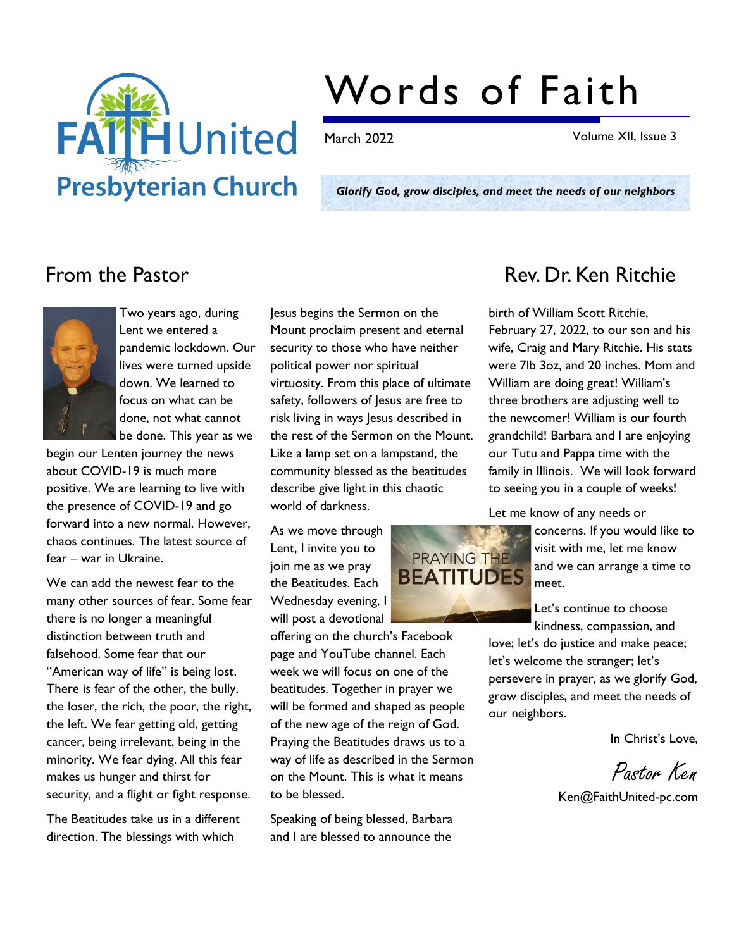

# Words of Faith

March 2022 Volume XII, Issue 3

Glorify God, grow disciples, and meet the needs of our neighbors



Two years ago, during Lent we entered a pandemic lockdown. Our lives were turned upside down. We learned to focus on what can be done, not what cannot be done. This year as we

begin our Lenten journey the news about COVID-19 is much more positive. We are learning to live with the presence of COVID-19 and go forward into a new normal. However, chaos continues. The latest source of fear – war in Ukraine.

We can add the newest fear to the many other sources of fear. Some fear there is no longer a meaningful distinction between truth and falsehood. Some fear that our "American way of life" is being lost. There is fear of the other, the bully, the loser, the rich, the poor, the right, the left. We fear getting old, getting cancer, being irrelevant, being in the minority. We fear dying. All this fear makes us hunger and thirst for security, and a flight or fight response.

The Beatitudes take us in a different direction. The blessings with which

Jesus begins the Sermon on the Mount proclaim present and eternal security to those who have neither political power nor spiritual virtuosity. From this place of ultimate safety, followers of Jesus are free to risk living in ways Jesus described in the rest of the Sermon on the Mount. Like a lamp set on a lampstand, the community blessed as the beatitudes describe give light in this chaotic world of darkness.

As we move through Lent, I invite you to join me as we pray the Beatitudes. Each Wednesday evening, I will post a devotional

offering on the church's Facebook page and YouTube channel. Each week we will focus on one of the beatitudes. Together in prayer we will be formed and shaped as people of the new age of the reign of God. Praying the Beatitudes draws us to a way of life as described in the Sermon on the Mount. This is what it means to be blessed.

Speaking of being blessed, Barbara and I are blessed to announce the



## From the Pastor **Rev. Dr. Ken Ritchie**

birth of William Scott Ritchie, February 27, 2022, to our son and his wife, Craig and Mary Ritchie. His stats were 7lb 3oz, and 20 inches. Mom and William are doing great! William's three brothers are adjusting well to the newcomer! William is our fourth grandchild! Barbara and I are enjoying our Tutu and Pappa time with the family in Illinois. We will look forward to seeing you in a couple of weeks!

Let me know of any needs or

concerns. If you would like to visit with me, let me know and we can arrange a time to meet.

Let's continue to choose kindness, compassion, and

love; let's do justice and make peace; let's welcome the stranger; let's persevere in prayer, as we glorify God, grow disciples, and meet the needs of our neighbors.

In Christ's Love,

Pastor Ken

Ken@FaithUnited-pc.com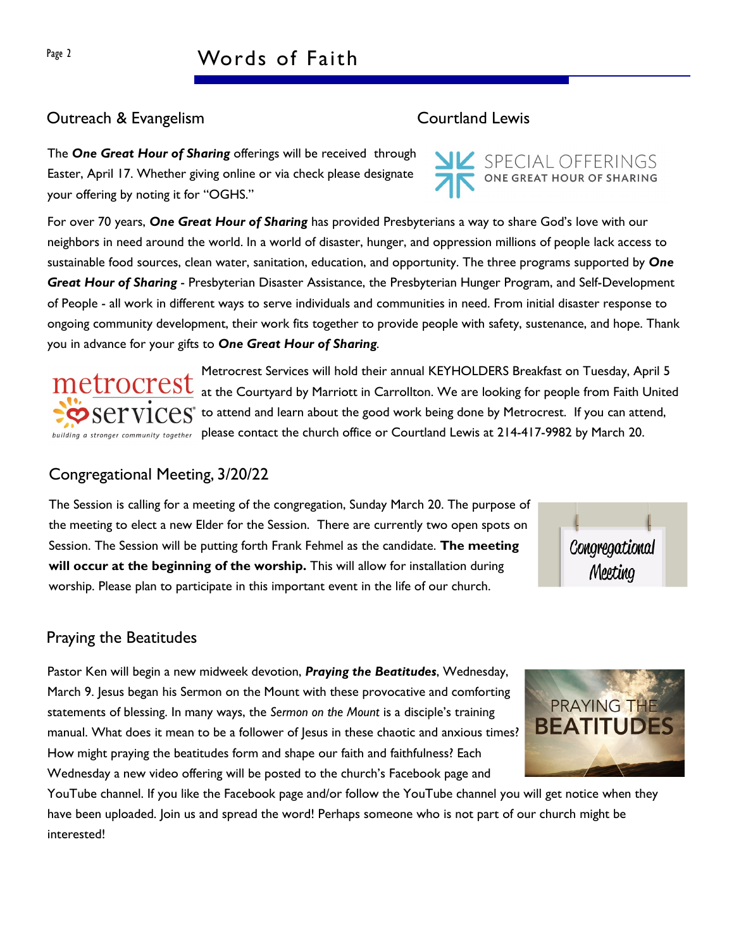#### Outreach & Evangelism Courtland Lewis

The One Great Hour of Sharing offerings will be received through Easter, April 17. Whether giving online or via check please designate your offering by noting it for "OGHS."

For over 70 years, One Great Hour of Sharing has provided Presbyterians a way to share God's love with our neighbors in need around the world. In a world of disaster, hunger, and oppression millions of people lack access to sustainable food sources, clean water, sanitation, education, and opportunity. The three programs supported by One Great Hour of Sharing - Presbyterian Disaster Assistance, the Presbyterian Hunger Program, and Self-Development of People - all work in different ways to serve individuals and communities in need. From initial disaster response to ongoing community development, their work fits together to provide people with safety, sustenance, and hope. Thank you in advance for your gifts to One Great Hour of Sharing.

Metrocrest Services will hold their annual KEYHOLDERS Breakfast on Tuesday, April 5 at the Courtyard by Marriott in Carrollton. We are looking for people from Faith United  $\mathbf{S}\text{E}\text{YIC}\text{ES}^*$  to attend and learn about the good work being done by Metrocrest. If you can attend, building a stronger community together please contact the church office or Courtland Lewis at 214-417-9982 by March 20.

### Congregational Meeting, 3/20/22

The Session is calling for a meeting of the congregation, Sunday March 20. The purpose of the meeting to elect a new Elder for the Session. There are currently two open spots on Session. The Session will be putting forth Frank Fehmel as the candidate. The meeting will occur at the beginning of the worship. This will allow for installation during worship. Please plan to participate in this important event in the life of our church.

### Praying the Beatitudes

Pastor Ken will begin a new midweek devotion, Praying the Beatitudes, Wednesday, March 9. Jesus began his Sermon on the Mount with these provocative and comforting statements of blessing. In many ways, the Sermon on the Mount is a disciple's training manual. What does it mean to be a follower of Jesus in these chaotic and anxious times? How might praying the beatitudes form and shape our faith and faithfulness? Each Wednesday a new video offering will be posted to the church's Facebook page and

YouTube channel. If you like the Facebook page and/or follow the YouTube channel you will get notice when they have been uploaded. Join us and spread the word! Perhaps someone who is not part of our church might be interested!



SPECIAL OFFERINGS<br>
ONE GREAT HOUR OF SHARING



Meeting

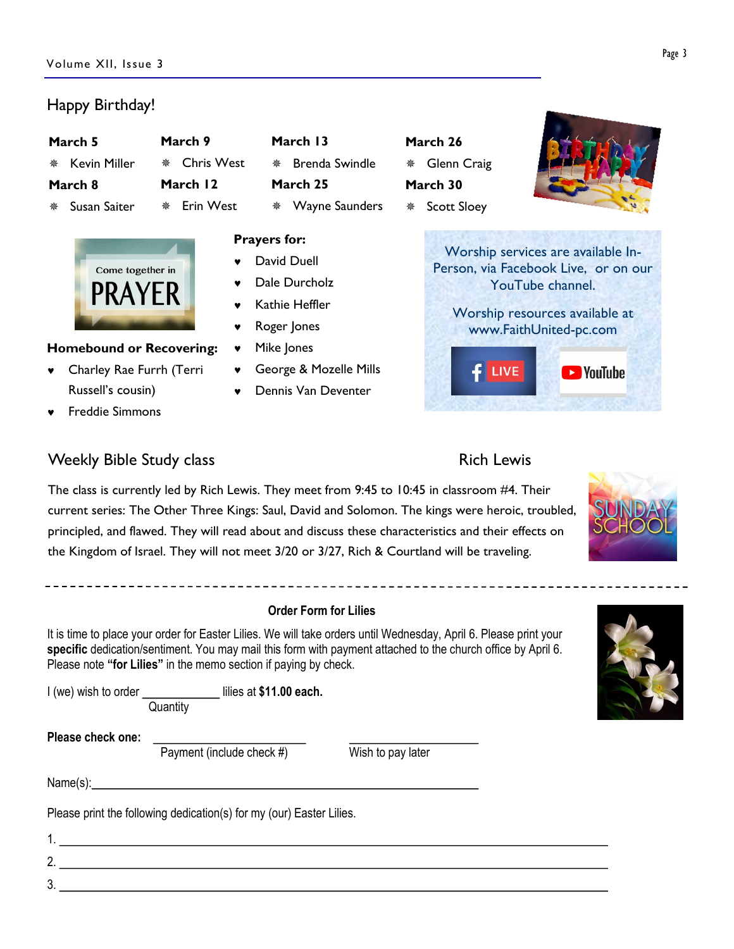### Happy Birthday!

|         | March 5        | March 9        |  |  |
|---------|----------------|----------------|--|--|
|         | * Kevin Miller | ** Chris West  |  |  |
| March 8 |                | March 12       |  |  |
|         | ∜ Susan Saiter | Erin West<br>泰 |  |  |



#### Homebound or Recovering:

- © Charley Rae Furrh (Terri Russell's cousin)
- © Freddie Simmons

#### Weekly Bible Study class **Rich Lewis** Rich Lewis

March 13  $*$  Brenda Swindle March 25  $*$  Wayne Saunders

#### Prayers for:

- David Duell
- Dale Durcholz
- Kathie Heffler
- Roger Jones
- v Mike Jones
- © George & Mozelle Mills
- © Dennis Van Deventer

March 26  $*$  Glenn Craig March 30



Worship services are available In-Person, via Facebook Live, or on our YouTube channel.

Worship resources available at www.FaithUnited-pc.com



The class is currently led by Rich Lewis. They meet from 9:45 to 10:45 in classroom #4. Their current series: The Other Three Kings: Saul, David and Solomon. The kings were heroic, troubled, principled, and flawed. They will read about and discuss these characteristics and their effects on the Kingdom of Israel. They will not meet 3/20 or 3/27, Rich & Courtland will be traveling.

#### Order Form for Lilies

It is time to place your order for Easter Lilies. We will take orders until Wednesday, April 6. Please print your specific dedication/sentiment. You may mail this form with payment attached to the church office by April 6. Please note "for Lilies" in the memo section if paying by check.

I (we) wish to order \_\_\_\_\_\_\_\_\_\_\_\_\_\_\_ lilies at \$11.00 each.

Please check one:

Payment (include check  $#$ ) Wish to pay later

3.

Name(s): Name(s):

Please print the following dedication(s) for my (our) Easter Lilies.

**Quantity** 

1. 2.